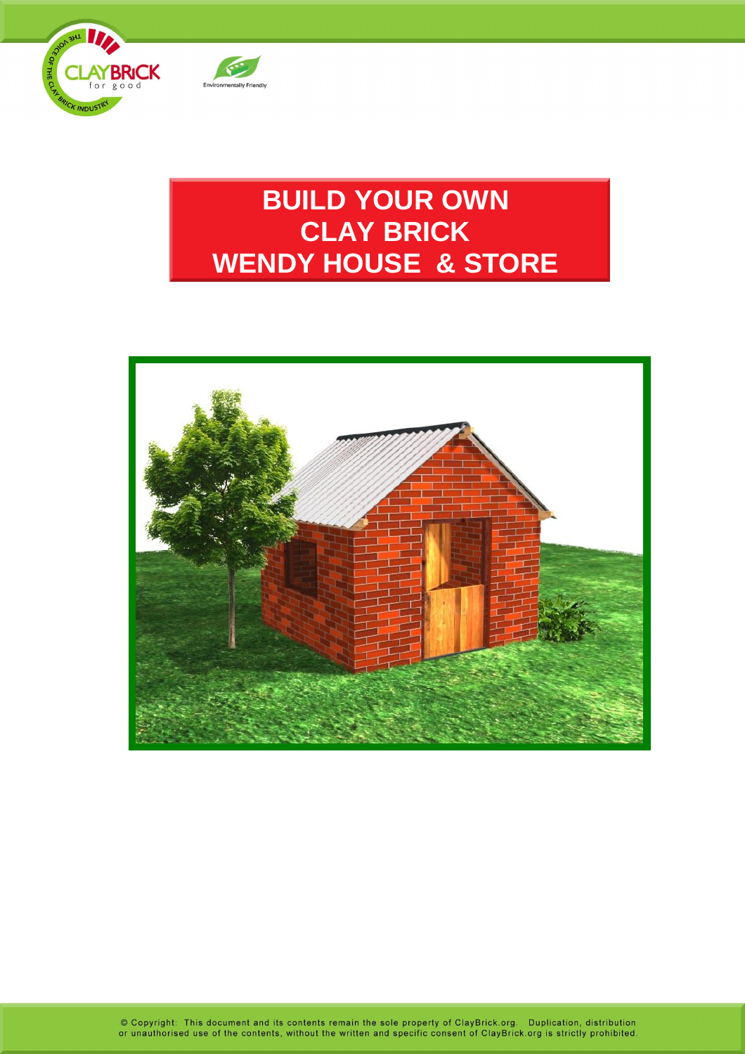



# **BUILD YOUR OWN CLAY BRICK WENDY HOUSE & STORE**